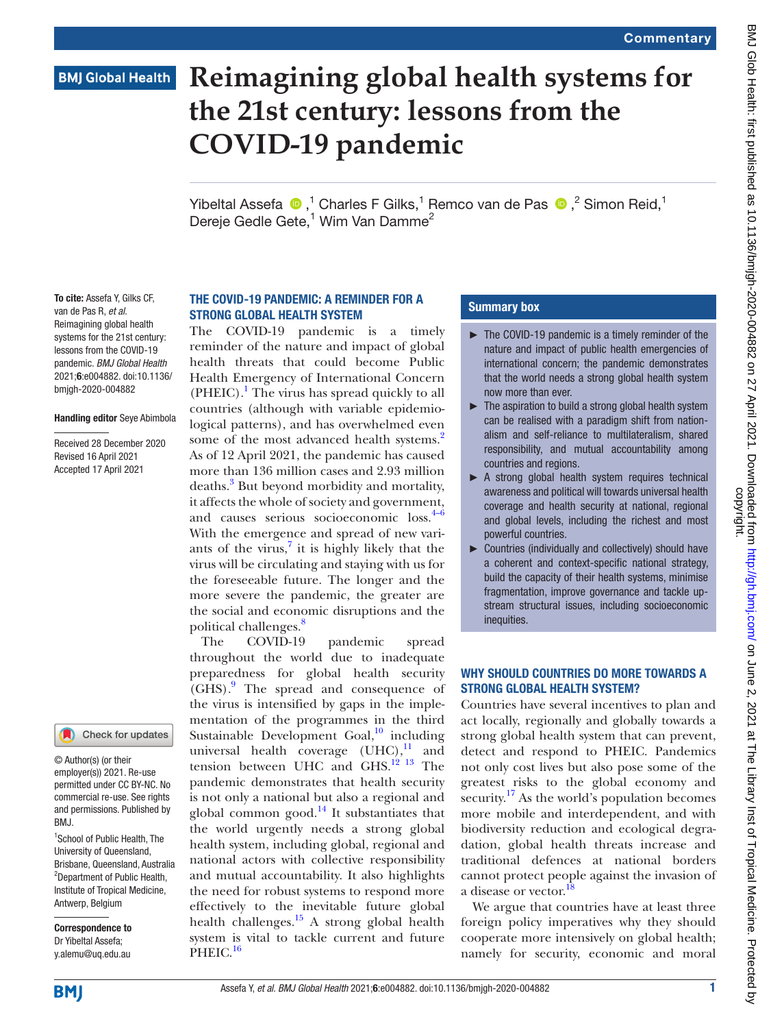# **BMJ Global Health**

# **Reimagining global health systems for the 21st century: lessons from the COVID-19 pandemic**

Yibeltal Assefa  $\bullet$ ,<sup>1</sup> Charles F Gilks,<sup>1</sup> Remco van de Pas  $\bullet$ ,<sup>2</sup> Simon Reid,<sup>1</sup> Dereje Gedle Gete,<sup>1</sup> Wim Van Damme<sup>2</sup>

To cite: Assefa Y, Gilks CF, van de Pas R, *et al*. Reimagining global health systems for the 21st century: lessons from the COVID-19 pandemic. *BMJ Global Health* 2021;6:e004882. doi:10.1136/ bmjgh-2020-004882

#### Handling editor Seye Abimbola

Received 28 December 2020 Revised 16 April 2021 Accepted 17 April 2021



© Author(s) (or their employer(s)) 2021. Re-use permitted under CC BY-NC. No commercial re-use. See rights and permissions. Published by BMJ.

<sup>1</sup>School of Public Health, The University of Queensland, Brisbane, Queensland, Australia <sup>2</sup>Department of Public Health, Institute of Tropical Medicine, Antwerp, Belgium

Correspondence to Dr Yibeltal Assefa; y.alemu@uq.edu.au

# THE COVID-19 PANDEMIC: A REMINDER FOR A STRONG GLOBAL HEALTH SYSTEM

The COVID-19 pandemic is a timely reminder of the nature and impact of global health threats that could become Public Health Emergency of International Concern  $(PHEIC).$ <sup>[1](#page-3-0)</sup> The virus has spread quickly to all countries (although with variable epidemiological patterns), and has overwhelmed even some of the most advanced health systems.<sup>2</sup> As of 12 April 2021, the pandemic has caused more than 136 million cases and 2.93 million deaths.<sup>[3](#page-3-2)</sup> But beyond morbidity and mortality, it affects the whole of society and government, and causes serious socioeconomic loss.<sup>[4–6](#page-3-3)</sup> With the emergence and spread of new variants of the virus, $7$  it is highly likely that the virus will be circulating and staying with us for the foreseeable future. The longer and the more severe the pandemic, the greater are the social and economic disruptions and the political challenges.<sup>[8](#page-3-5)</sup>

The COVID-19 pandemic spread throughout the world due to inadequate preparedness for global health security (GHS).[9](#page-3-6) The spread and consequence of the virus is intensified by gaps in the implementation of the programmes in the third Sustainable Development Goal, $^{10}$  $^{10}$  $^{10}$  including universal health coverage  $(UHC),^{11}$  $(UHC),^{11}$  $(UHC),^{11}$  and tension between UHC and GHS.<sup>12</sup> <sup>13</sup> The pandemic demonstrates that health security is not only a national but also a regional and global common good. $14$  It substantiates that the world urgently needs a strong global health system, including global, regional and national actors with collective responsibility and mutual accountability. It also highlights the need for robust systems to respond more effectively to the inevitable future global health challenges. $15$  A strong global health system is vital to tackle current and future PHEIC.<sup>[16](#page-3-12)</sup>

## Summary box

- ► The COVID-19 pandemic is a timely reminder of the nature and impact of public health emergencies of international concern; the pandemic demonstrates that the world needs a strong global health system now more than ever.
- ► The aspiration to build a strong global health system can be realised with a paradigm shift from nationalism and self-reliance to multilateralism, shared responsibility, and mutual accountability among countries and regions.
- ▶ A strong global health system requires technical awareness and political will towards universal health coverage and health security at national, regional and global levels, including the richest and most powerful countries.
- ► Countries (individually and collectively) should have a coherent and context-specific national strategy, build the capacity of their health systems, minimise fragmentation, improve governance and tackle upstream structural issues, including socioeconomic inequities.

# WHY SHOULD COUNTRIES DO MORE TOWARDS A STRONG GLOBAL HEALTH SYSTEM?

Countries have several incentives to plan and act locally, regionally and globally towards a strong global health system that can prevent, detect and respond to PHEIC. Pandemics not only cost lives but also pose some of the greatest risks to the global economy and security.<sup>17</sup> As the world's population becomes more mobile and interdependent, and with biodiversity reduction and ecological degradation, global health threats increase and traditional defences at national borders cannot protect people against the invasion of a disease or vector.

We argue that countries have at least three foreign policy imperatives why they should cooperate more intensively on global health; namely for security, economic and moral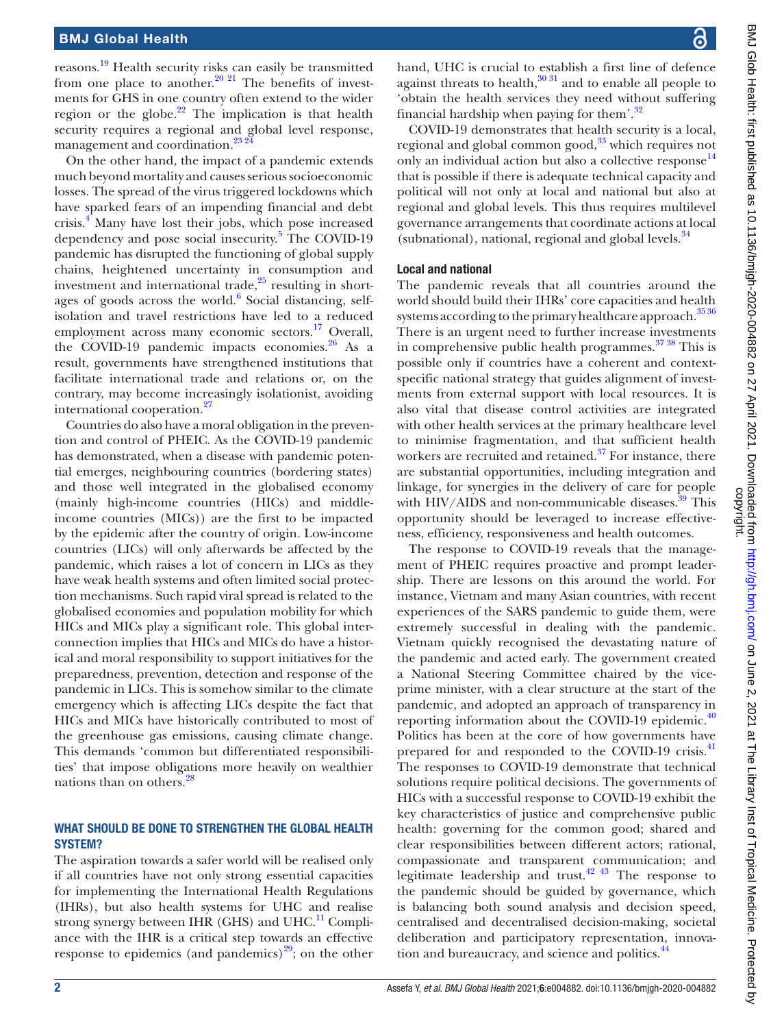reasons.<sup>[19](#page-3-15)</sup> Health security risks can easily be transmitted from one place to another.<sup>20 21</sup> The benefits of investments for GHS in one country often extend to the wider region or the globe. $22$  The implication is that health security requires a regional and global level response, management and coordination.<sup>[23 24](#page-3-18)</sup>

On the other hand, the impact of a pandemic extends much beyond mortality and causes serious socioeconomic losses. The spread of the virus triggered lockdowns which have sparked fears of an impending financial and debt crisis.[4](#page-3-3) Many have lost their jobs, which pose increased dependency and pose social insecurity.<sup>[5](#page-3-19)</sup> The COVID-19 pandemic has disrupted the functioning of global supply chains, heightened uncertainty in consumption and investment and international trade, $^{25}$  resulting in short-ages of goods across the world.<sup>[6](#page-3-21)</sup> Social distancing, selfisolation and travel restrictions have led to a reduced employment across many economic sectors.<sup>17</sup> Overall, the COVID-19 pandemic impacts economies. $26$  As a result, governments have strengthened institutions that facilitate international trade and relations or, on the contrary, may become increasingly isolationist, avoiding international cooperation.<sup>27</sup>

Countries do also have a moral obligation in the prevention and control of PHEIC. As the COVID-19 pandemic has demonstrated, when a disease with pandemic potential emerges, neighbouring countries (bordering states) and those well integrated in the globalised economy (mainly high-income countries (HICs) and middleincome countries (MICs)) are the first to be impacted by the epidemic after the country of origin. Low-income countries (LICs) will only afterwards be affected by the pandemic, which raises a lot of concern in LICs as they have weak health systems and often limited social protection mechanisms. Such rapid viral spread is related to the globalised economies and population mobility for which HICs and MICs play a significant role. This global interconnection implies that HICs and MICs do have a historical and moral responsibility to support initiatives for the preparedness, prevention, detection and response of the pandemic in LICs. This is somehow similar to the climate emergency which is affecting LICs despite the fact that HICs and MICs have historically contributed to most of the greenhouse gas emissions, causing climate change. This demands 'common but differentiated responsibilities' that impose obligations more heavily on wealthier nations than on others.<sup>28</sup>

## WHAT SHOULD BE DONE TO STRENGTHEN THE GLOBAL HEALTH SYSTEM?

The aspiration towards a safer world will be realised only if all countries have not only strong essential capacities for implementing the International Health Regulations (IHRs), but also health systems for UHC and realise strong synergy between IHR (GHS) and UHC.<sup>11</sup> Compliance with the IHR is a critical step towards an effective response to epidemics (and pandemics)<sup>29</sup>; on the other

hand, UHC is crucial to establish a first line of defence against threats to health, $30\frac{31}{1}$  and to enable all people to 'obtain the health services they need without suffering financial hardship when paying for them'.[32](#page-3-27)

COVID-19 demonstrates that health security is a local, regional and global common good,<sup>[33](#page-3-28)</sup> which requires not only an individual action but also a collective response<sup>[14](#page-3-10)</sup> that is possible if there is adequate technical capacity and political will not only at local and national but also at regional and global levels. This thus requires multilevel governance arrangements that coordinate actions at local (subnational), national, regional and global levels. $34$ 

## Local and national

The pandemic reveals that all countries around the world should build their IHRs' core capacities and health systems according to the primary healthcare approach.<sup>3536</sup> There is an urgent need to further increase investments in comprehensive public health programmes. $37\,38$  This is possible only if countries have a coherent and contextspecific national strategy that guides alignment of investments from external support with local resources. It is also vital that disease control activities are integrated with other health services at the primary healthcare level to minimise fragmentation, and that sufficient health workers are recruited and retained.<sup>37</sup> For instance, there are substantial opportunities, including integration and linkage, for synergies in the delivery of care for people with HIV/AIDS and non-communicable diseases. $39$  This opportunity should be leveraged to increase effectiveness, efficiency, responsiveness and health outcomes.

The response to COVID-19 reveals that the management of PHEIC requires proactive and prompt leadership. There are lessons on this around the world. For instance, Vietnam and many Asian countries, with recent experiences of the SARS pandemic to guide them, were extremely successful in dealing with the pandemic. Vietnam quickly recognised the devastating nature of the pandemic and acted early. The government created a National Steering Committee chaired by the viceprime minister, with a clear structure at the start of the pandemic, and adopted an approach of transparency in reporting information about the COVID-19 epidemic. $40$ Politics has been at the core of how governments have prepared for and responded to the COVID-19 crisis.<sup>[41](#page-3-34)</sup> The responses to COVID-19 demonstrate that technical solutions require political decisions. The governments of HICs with a successful response to COVID-19 exhibit the key characteristics of justice and comprehensive public health: governing for the common good; shared and clear responsibilities between different actors; rational, compassionate and transparent communication; and legitimate leadership and trust.[42 43](#page-3-35) The response to the pandemic should be guided by governance, which is balancing both sound analysis and decision speed, centralised and decentralised decision-making, societal deliberation and participatory representation, innovation and bureaucracy, and science and politics.<sup>44</sup>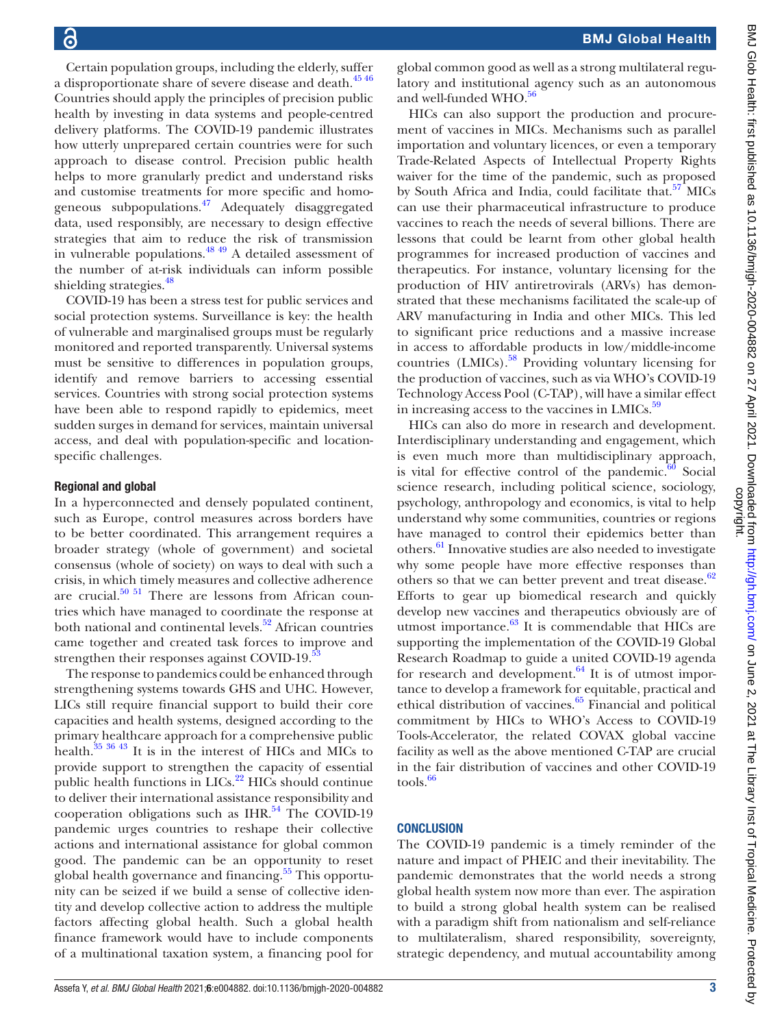Certain population groups, including the elderly, suffer a disproportionate share of severe disease and death.<sup>[45 46](#page-4-1)</sup> Countries should apply the principles of precision public health by investing in data systems and people-centred delivery platforms. The COVID-19 pandemic illustrates how utterly unprepared certain countries were for such approach to disease control. Precision public health helps to more granularly predict and understand risks and customise treatments for more specific and homogeneous subpopulations.[47](#page-4-2) Adequately disaggregated data, used responsibly, are necessary to design effective strategies that aim to reduce the risk of transmission in vulnerable populations. $48\frac{49}{49}$  A detailed assessment of the number of at-risk individuals can inform possible shielding strategies.<sup>[48](#page-4-3)</sup>

COVID-19 has been a stress test for public services and social protection systems. Surveillance is key: the health of vulnerable and marginalised groups must be regularly monitored and reported transparently. Universal systems must be sensitive to differences in population groups, identify and remove barriers to accessing essential services. Countries with strong social protection systems have been able to respond rapidly to epidemics, meet sudden surges in demand for services, maintain universal access, and deal with population-specific and locationspecific challenges.

#### Regional and global

In a hyperconnected and densely populated continent, such as Europe, control measures across borders have to be better coordinated. This arrangement requires a broader strategy (whole of government) and societal consensus (whole of society) on ways to deal with such a crisis, in which timely measures and collective adherence are crucial. $50\,51$  There are lessons from African countries which have managed to coordinate the response at both national and continental levels. $52$  African countries came together and created task forces to improve and strengthen their responses against COVID-19.<sup>5</sup>

The response to pandemics could be enhanced through strengthening systems towards GHS and UHC. However, LICs still require financial support to build their core capacities and health systems, designed according to the primary healthcare approach for a comprehensive public health[.35 36 43](#page-3-30) It is in the interest of HICs and MICs to provide support to strengthen the capacity of essential public health functions in  $LICs<sup>.22</sup> HICs$  should continue to deliver their international assistance responsibility and cooperation obligations such as  $IHR<sup>54</sup>$  The COVID-19 pandemic urges countries to reshape their collective actions and international assistance for global common good. The pandemic can be an opportunity to reset global health governance and financing.<sup>55</sup> This opportunity can be seized if we build a sense of collective identity and develop collective action to address the multiple factors affecting global health. Such a global health finance framework would have to include components of a multinational taxation system, a financing pool for

global common good as well as a strong multilateral regulatory and institutional agency such as an autonomous and well-funded WHO.<sup>[56](#page-4-9)</sup>

HICs can also support the production and procurement of vaccines in MICs. Mechanisms such as parallel importation and voluntary licences, or even a temporary Trade-Related Aspects of Intellectual Property Rights waiver for the time of the pandemic, such as proposed by South Africa and India, could facilitate that.<sup>57</sup> MICs can use their pharmaceutical infrastructure to produce vaccines to reach the needs of several billions. There are lessons that could be learnt from other global health programmes for increased production of vaccines and therapeutics. For instance, voluntary licensing for the production of HIV antiretrovirals (ARVs) has demonstrated that these mechanisms facilitated the scale-up of ARV manufacturing in India and other MICs. This led to significant price reductions and a massive increase in access to affordable products in low/middle-income countries (LMICs).<sup>58</sup> Providing voluntary licensing for the production of vaccines, such as via WHO's COVID-19 Technology Access Pool (C-TAP), will have a similar effect in increasing access to the vaccines in LMICs.<sup>[59](#page-4-12)</sup>

HICs can also do more in research and development. Interdisciplinary understanding and engagement, which is even much more than multidisciplinary approach, is vital for effective control of the pandemic. $60$  Social science research, including political science, sociology, psychology, anthropology and economics, is vital to help understand why some communities, countries or regions have managed to control their epidemics better than others.[61](#page-4-14) Innovative studies are also needed to investigate why some people have more effective responses than others so that we can better prevent and treat disease. $62$ Efforts to gear up biomedical research and quickly develop new vaccines and therapeutics obviously are of utmost importance. $63$  It is commendable that HICs are supporting the implementation of the COVID-19 Global Research Roadmap to guide a united COVID-19 agenda for research and development. $64$  It is of utmost importance to develop a framework for equitable, practical and ethical distribution of vaccines.[65](#page-4-18) Financial and political commitment by HICs to WHO's Access to COVID-19 Tools-Accelerator, the related COVAX global vaccine facility as well as the above mentioned C-TAP are crucial in the fair distribution of vaccines and other COVID-19  $tools.<sup>66</sup>$ 

#### **CONCLUSION**

The COVID-19 pandemic is a timely reminder of the nature and impact of PHEIC and their inevitability. The pandemic demonstrates that the world needs a strong global health system now more than ever. The aspiration to build a strong global health system can be realised with a paradigm shift from nationalism and self-reliance to multilateralism, shared responsibility, sovereignty, strategic dependency, and mutual accountability among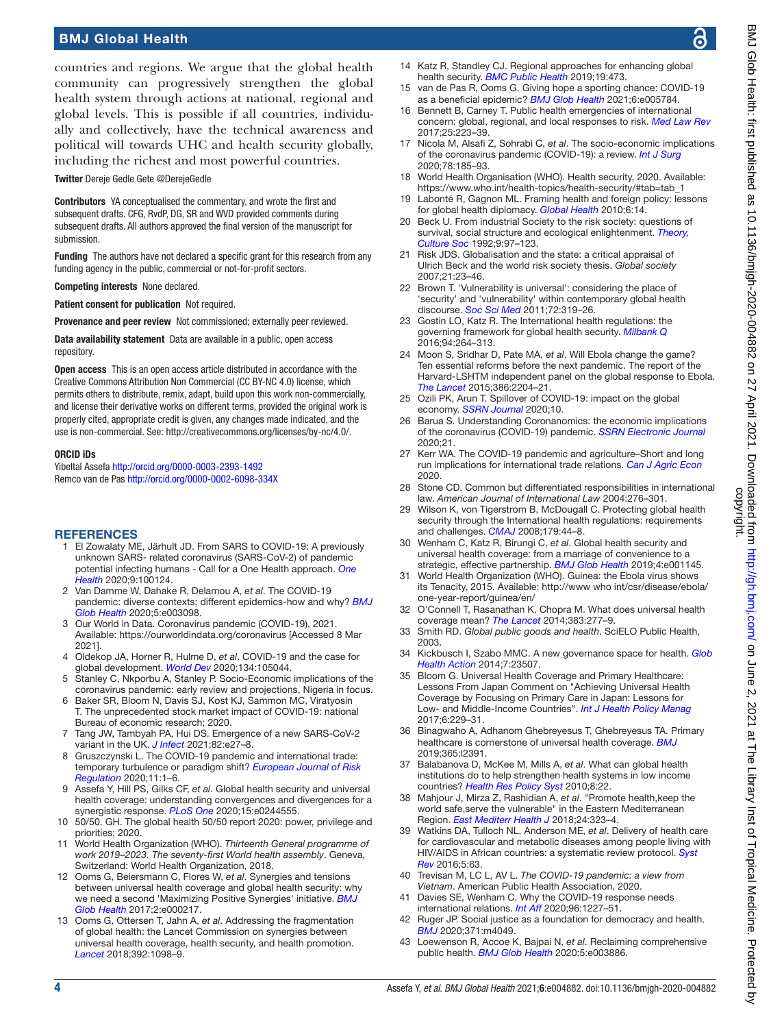# BMJ Global Health

countries and regions. We argue that the global health community can progressively strengthen the global health system through actions at national, regional and global levels. This is possible if all countries, individually and collectively, have the technical awareness and political will towards UHC and health security globally, including the richest and most powerful countries.

Twitter Dereje Gedle Gete [@DerejeGedle](https://twitter.com/DerejeGedle)

Contributors YA conceptualised the commentary, and wrote the first and subsequent drafts. CFG, RvdP, DG, SR and WVD provided comments during subsequent drafts. All authors approved the final version of the manuscript for submission.

Funding The authors have not declared a specific grant for this research from any funding agency in the public, commercial or not-for-profit sectors.

Competing interests None declared.

Patient consent for publication Not required.

Provenance and peer review Not commissioned; externally peer reviewed.

Data availability statement Data are available in a public, open access repository.

Open access This is an open access article distributed in accordance with the Creative Commons Attribution Non Commercial (CC BY-NC 4.0) license, which permits others to distribute, remix, adapt, build upon this work non-commercially, and license their derivative works on different terms, provided the original work is properly cited, appropriate credit is given, any changes made indicated, and the use is non-commercial. See: [http://creativecommons.org/licenses/by-nc/4.0/.](http://creativecommons.org/licenses/by-nc/4.0/)

#### ORCID iDs

Yibeltal Assefa <http://orcid.org/0000-0003-2393-1492> Remco van de Pas <http://orcid.org/0000-0002-6098-334X>

#### <span id="page-3-0"></span>**REFERENCES**

- El Zowalaty ME, Järhult JD. From SARS to COVID-19: A previously unknown SARS- related coronavirus (SARS-CoV-2) of pandemic potential infecting humans - Call for a One Health approach. *[One](http://dx.doi.org/10.1016/j.onehlt.2020.100124)  [Health](http://dx.doi.org/10.1016/j.onehlt.2020.100124)* 2020;9:100124.
- <span id="page-3-1"></span>2 Van Damme W, Dahake R, Delamou A, *et al*. The COVID-19 pandemic: diverse contexts; different epidemics-how and why? *[BMJ](http://dx.doi.org/10.1136/bmjgh-2020-003098)  [Glob Health](http://dx.doi.org/10.1136/bmjgh-2020-003098)* 2020;5:e003098.
- <span id="page-3-2"></span>3 Our World in Data. Coronavirus pandemic (COVID-19), 2021. Available:<https://ourworldindata.org/coronavirus> [Accessed 8 Mar 2021].
- <span id="page-3-3"></span>4 Oldekop JA, Horner R, Hulme D, *et al*. COVID-19 and the case for global development. *[World Dev](http://dx.doi.org/10.1016/j.worlddev.2020.105044)* 2020;134:105044.
- <span id="page-3-19"></span>5 Stanley C, Nkporbu A, Stanley P. Socio-Economic implications of the coronavirus pandemic: early review and projections, Nigeria in focus.
- <span id="page-3-21"></span>6 Baker SR, Bloom N, Davis SJ, Kost KJ, Sammon MC, Viratyosin T. The unprecedented stock market impact of COVID-19: national Bureau of economic research; 2020.
- <span id="page-3-4"></span>7 Tang JW, Tambyah PA, Hui DS. Emergence of a new SARS-CoV-2 variant in the UK. *[J Infect](http://dx.doi.org/10.1016/j.jinf.2020.12.024)* 2021;82:e27–8.
- <span id="page-3-5"></span>8 Gruszczynski L. The COVID-19 pandemic and international trade: temporary turbulence or paradigm shift? *[European Journal of Risk](http://dx.doi.org/10.1017/err.2020.29)  [Regulation](http://dx.doi.org/10.1017/err.2020.29)* 2020;11:1–6.
- <span id="page-3-6"></span>9 Assefa Y, Hill PS, Gilks CF, *et al*. Global health security and universal health coverage: understanding convergences and divergences for a synergistic response. *[PLoS One](http://dx.doi.org/10.1371/journal.pone.0244555)* 2020;15:e0244555.
- <span id="page-3-7"></span>10 50/50. GH. The global health 50/50 report 2020: power, privilege and priorities; 2020.
- <span id="page-3-8"></span>11 World Health Organization (WHO). *Thirteenth General programme of work 2019–2023. The seventy-first World health assembly*. Geneva, Switzerland: World Health Organization, 2018.
- <span id="page-3-9"></span>12 Ooms G, Beiersmann C, Flores W, *et al*. Synergies and tensions between universal health coverage and global health security: why we need a second 'Maximizing Positive Synergies' initiative. *[BMJ](http://dx.doi.org/10.1136/bmjgh-2016-000217)  [Glob Health](http://dx.doi.org/10.1136/bmjgh-2016-000217)* 2017;2:e000217.
- 13 Ooms G, Ottersen T, Jahn A, *et al*. Addressing the fragmentation of global health: the Lancet Commission on synergies between universal health coverage, health security, and health promotion. *[Lancet](http://dx.doi.org/10.1016/S0140-6736(18)32072-5)* 2018;392:1098–9.
- <span id="page-3-10"></span>14 Katz R, Standley CJ. Regional approaches for enhancing global health security. *[BMC Public Health](http://dx.doi.org/10.1186/s12889-019-6789-y)* 2019;19:473.
- <span id="page-3-11"></span>15 van de Pas R, Ooms G. Giving hope a sporting chance: COVID-19 as a beneficial epidemic? *[BMJ Glob Health](http://dx.doi.org/10.1136/bmjgh-2021-005784)* 2021;6:e005784.
- <span id="page-3-12"></span>16 Bennett B, Carney T. Public health emergencies of international concern: global, regional, and local responses to risk. *[Med Law Rev](http://dx.doi.org/10.1093/medlaw/fwx004)* 2017;25:223–39.
- <span id="page-3-13"></span>17 Nicola M, Alsafi Z, Sohrabi C, *et al*. The socio-economic implications of the coronavirus pandemic (COVID-19): a review. *[Int J Surg](http://dx.doi.org/10.1016/j.ijsu.2020.04.018)* 2020;78:185–93.
- <span id="page-3-14"></span>18 World Health Organisation (WHO). Health security, 2020. Available: [https://www.who.int/health-topics/health-security/#tab=tab\\_1](https://www.who.int/health-topics/health-security/#tab=tab_1)
- <span id="page-3-15"></span>19 Labonté R, Gagnon ML. Framing health and foreign policy: lessons for global health diplomacy. *[Global Health](http://dx.doi.org/10.1186/1744-8603-6-14)* 2010;6:14.
- <span id="page-3-16"></span>20 Beck U. From industrial Society to the risk society: questions of survival, social structure and ecological enlightenment. *[Theory,](http://dx.doi.org/10.1177/026327692009001006)  [Culture Soc](http://dx.doi.org/10.1177/026327692009001006)* 1992;9:97–123.
- 21 Risk JDS. Globalisation and the state: a critical appraisal of Ulrich Beck and the world risk society thesis. *Global society* 2007;21:23–46.
- <span id="page-3-17"></span>22 Brown T. 'Vulnerability is universal': considering the place of 'security' and 'vulnerability' within contemporary global health discourse. *[Soc Sci Med](http://dx.doi.org/10.1016/j.socscimed.2010.09.010)* 2011;72:319–26.
- <span id="page-3-18"></span>23 Gostin LO, Katz R. The International health regulations: the governing framework for global health security. *[Milbank Q](http://dx.doi.org/10.1111/1468-0009.12186)* 2016;94:264–313.
- 24 Moon S, Sridhar D, Pate MA, *et al*. Will Ebola change the game? Ten essential reforms before the next pandemic. The report of the Harvard-LSHTM independent panel on the global response to Ebola. *[The Lancet](http://dx.doi.org/10.1016/S0140-6736(15)00946-0)* 2015;386:2204–21.
- <span id="page-3-20"></span>25 Ozili PK, Arun T. Spillover of COVID-19: impact on the global economy. *[SSRN Journal](http://dx.doi.org/10.2139/ssrn.3562570)* 2020;10.
- <span id="page-3-22"></span>26 Barua S. Understanding Coronanomics: the economic implications of the coronavirus (COVID-19) pandemic. *[SSRN Electronic Journal](http://dx.doi.org/10.2139/ssrn.3566477)* 2020;21.
- <span id="page-3-23"></span>27 Kerr WA. The COVID‐19 pandemic and agriculture–Short and long run implications for international trade relations. *[Can J Agric Econ](http://dx.doi.org/10.1111/cjag.12230)* 2020.
- <span id="page-3-24"></span>28 Stone CD. Common but differentiated responsibilities in international law. *American Journal of International Law* 2004:276–301.
- <span id="page-3-25"></span>29 Wilson K, von Tigerstrom B, McDougall C. Protecting global health security through the International health regulations: requirements and challenges. *[CMAJ](http://dx.doi.org/10.1503/cmaj.080516)* 2008;179:44–8.
- <span id="page-3-26"></span>30 Wenham C, Katz R, Birungi C, *et al*. Global health security and universal health coverage: from a marriage of convenience to a strategic, effective partnership. *[BMJ Glob Health](http://dx.doi.org/10.1136/bmjgh-2018-001145)* 2019;4:e001145.
- 31 World Health Organization (WHO). Guinea: the Ebola virus shows its Tenacity, 2015. Available: [http://www who int/csr/disease/ebola/](http://www%20who%20int/csr/disease/ebola/one‐year‐report/guinea/en/) [one‐year‐report/guinea/en/](http://www%20who%20int/csr/disease/ebola/one‐year‐report/guinea/en/)
- <span id="page-3-27"></span>32 O'Connell T, Rasanathan K, Chopra M. What does universal health coverage mean? *[The Lancet](http://dx.doi.org/10.1016/S0140-6736(13)60955-1)* 2014;383:277–9.
- <span id="page-3-28"></span>33 Smith RD. *Global public goods and health*. SciELO Public Health, 2003.
- <span id="page-3-29"></span>34 Kickbusch I, Szabo MMC. A new governance space for health. *[Glob](http://dx.doi.org/10.3402/gha.v7.23507)  [Health Action](http://dx.doi.org/10.3402/gha.v7.23507)* 2014;7:23507.
- <span id="page-3-30"></span>35 Bloom G. Universal Health Coverage and Primary Healthcare: Lessons From Japan Comment on "Achieving Universal Health Coverage by Focusing on Primary Care in Japan: Lessons for Low- and Middle-Income Countries". *[Int J Health Policy Manag](http://dx.doi.org/10.15171/ijhpm.2016.120)* 2017;6:229–31.
- 36 Binagwaho A, Adhanom Ghebreyesus T, Ghebreyesus TA. Primary healthcare is cornerstone of universal health coverage. *[BMJ](http://dx.doi.org/10.1136/bmj.l2391)* 2019;365:l2391.
- <span id="page-3-31"></span>37 Balabanova D, McKee M, Mills A, *et al*. What can global health institutions do to help strengthen health systems in low income countries? *[Health Res Policy Syst](http://dx.doi.org/10.1186/1478-4505-8-22)* 2010;8:22.
- 38 Mahjour J, Mirza Z, Rashidian A, *et al*. "Promote health,keep the world safe,serve the vulnerable" in the Eastern Mediterranean Region. *[East Mediterr Health J](http://dx.doi.org/10.26719/2018.24.4.323)* 2018;24:323–4.
- <span id="page-3-32"></span>39 Watkins DA, Tulloch NL, Anderson ME, *et al*. Delivery of health care for cardiovascular and metabolic diseases among people living with HIV/AIDS in African countries: a systematic review protocol. *[Syst](http://dx.doi.org/10.1186/s13643-016-0241-5)  [Rev](http://dx.doi.org/10.1186/s13643-016-0241-5)* 2016;5:63.
- <span id="page-3-33"></span>40 Trevisan M, LC L, AV L. *The COVID-19 pandemic: a view from Vietnam*. American Public Health Association, 2020.
- <span id="page-3-34"></span>41 Davies SE, Wenham C. Why the COVID-19 response needs international relations. *[Int Aff](http://dx.doi.org/10.1093/ia/iiaa135)* 2020;96:1227–51.
- <span id="page-3-35"></span>42 Ruger JP. Social justice as a foundation for democracy and health. *[BMJ](http://dx.doi.org/10.1136/bmj.m4049)* 2020;371:m4049.
- 43 Loewenson R, Accoe K, Bajpai N, *et al*. Reclaiming comprehensive public health. *[BMJ Glob Health](http://dx.doi.org/10.1136/bmjgh-2020-003886)* 2020;5:e003886.